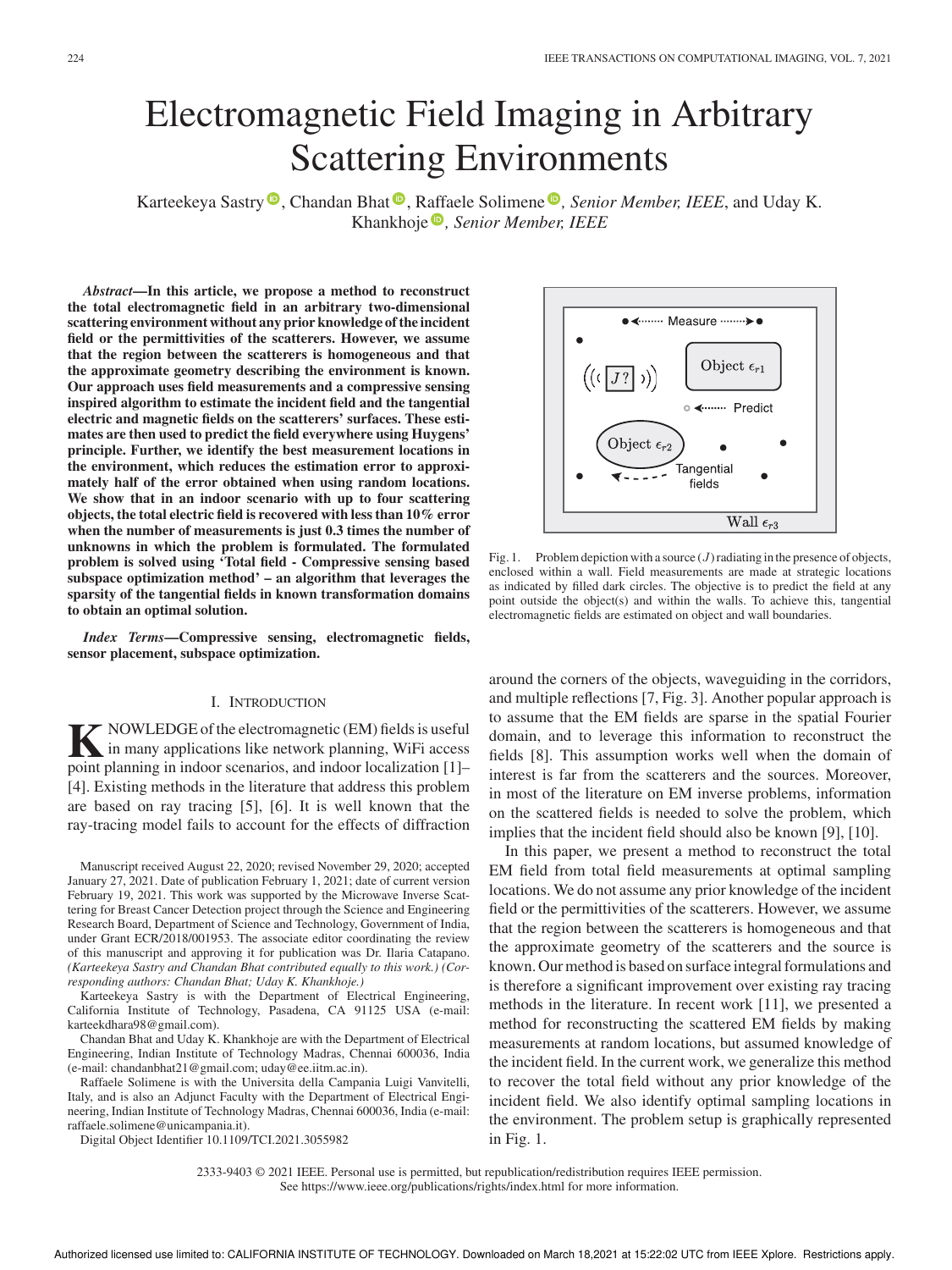# Electromagnetic Field Imaging in Arbitrary Scattering Environments

Karteekeya Sastry<sup>®</sup>, Chandan Bhat<sup>®</sup>, Raffaele Solimene<sup>®</sup>, Senior Member, IEEE, and Uday K. Khankhoje *, Senior Member, IEEE*

*Abstract***—In this article, we propose a method to reconstruct the total electromagnetic field in an arbitrary two-dimensional scattering environment without any prior knowledge of the incident field or the permittivities of the scatterers. However, we assume that the region between the scatterers is homogeneous and that the approximate geometry describing the environment is known. Our approach uses field measurements and a compressive sensing inspired algorithm to estimate the incident field and the tangential electric and magnetic fields on the scatterers' surfaces. These estimates are then used to predict the field everywhere using Huygens' principle. Further, we identify the best measurement locations in the environment, which reduces the estimation error to approximately half of the error obtained when using random locations. We show that in an indoor scenario with up to four scattering objects, the total electric field is recovered with less than 10% error when the number of measurements is just 0.3 times the number of unknowns in which the problem is formulated. The formulated problem is solved using 'Total field - Compressive sensing based subspace optimization method' – an algorithm that leverages the sparsity of the tangential fields in known transformation domains to obtain an optimal solution.**

*Index Terms***—Compressive sensing, electromagnetic fields, sensor placement, subspace optimization.**

#### I. INTRODUCTION

**K** NOWLEDGE of the electromagnetic (EM) fields is useful<br>in many applications like network planning, WiFi access  $\triangleright$  NOWLEDGE of the electromagnetic (EM) fields is useful point planning in indoor scenarios, and indoor localization [1]– [4]. Existing methods in the literature that address this problem are based on ray tracing [5], [6]. It is well known that the ray-tracing model fails to account for the effects of diffraction

Manuscript received August 22, 2020; revised November 29, 2020; accepted January 27, 2021. Date of publication February 1, 2021; date of current version February 19, 2021. This work was supported by the Microwave Inverse Scattering for Breast Cancer Detection project through the Science and Engineering Research Board, Department of Science and Technology, Government of India, under Grant ECR/2018/001953. The associate editor coordinating the review of this manuscript and approving it for publication was Dr. Ilaria Catapano. *(Karteekeya Sastry and Chandan Bhat contributed equally to this work.) (Corresponding authors: Chandan Bhat; Uday K. Khankhoje.)*

Karteekeya Sastry is with the Department of Electrical Engineering, California Institute of Technology, Pasadena, CA 91125 USA (e-mail: karteekdhara98@gmail.com).

Chandan Bhat and Uday K. Khankhoje are with the Department of Electrical Engineering, Indian Institute of Technology Madras, Chennai 600036, India (e-mail: chandanbhat21@gmail.com; uday@ee.iitm.ac.in).

Raffaele Solimene is with the Universita della Campania Luigi Vanvitelli, Italy, and is also an Adjunct Faculty with the Department of Electrical Engineering, Indian Institute of Technology Madras, Chennai 600036, India (e-mail: raffaele.solimene@unicampania.it).

Digital Object Identifier 10.1109/TCI.2021.3055982



Fig. 1. Problem depiction with a source  $(J)$  radiating in the presence of objects, enclosed within a wall. Field measurements are made at strategic locations as indicated by filled dark circles. The objective is to predict the field at any point outside the object(s) and within the walls. To achieve this, tangential electromagnetic fields are estimated on object and wall boundaries.

around the corners of the objects, waveguiding in the corridors, and multiple reflections [7, Fig. 3]. Another popular approach is to assume that the EM fields are sparse in the spatial Fourier domain, and to leverage this information to reconstruct the fields [8]. This assumption works well when the domain of interest is far from the scatterers and the sources. Moreover, in most of the literature on EM inverse problems, information on the scattered fields is needed to solve the problem, which implies that the incident field should also be known [9], [10].

In this paper, we present a method to reconstruct the total EM field from total field measurements at optimal sampling locations. We do not assume any prior knowledge of the incident field or the permittivities of the scatterers. However, we assume that the region between the scatterers is homogeneous and that the approximate geometry of the scatterers and the source is known. Our method is based on surface integral formulations and is therefore a significant improvement over existing ray tracing methods in the literature. In recent work [11], we presented a method for reconstructing the scattered EM fields by making measurements at random locations, but assumed knowledge of the incident field. In the current work, we generalize this method to recover the total field without any prior knowledge of the incident field. We also identify optimal sampling locations in the environment. The problem setup is graphically represented in Fig. 1.

2333-9403 © 2021 IEEE. Personal use is permitted, but republication/redistribution requires IEEE permission. See https://www.ieee.org/publications/rights/index.html for more information.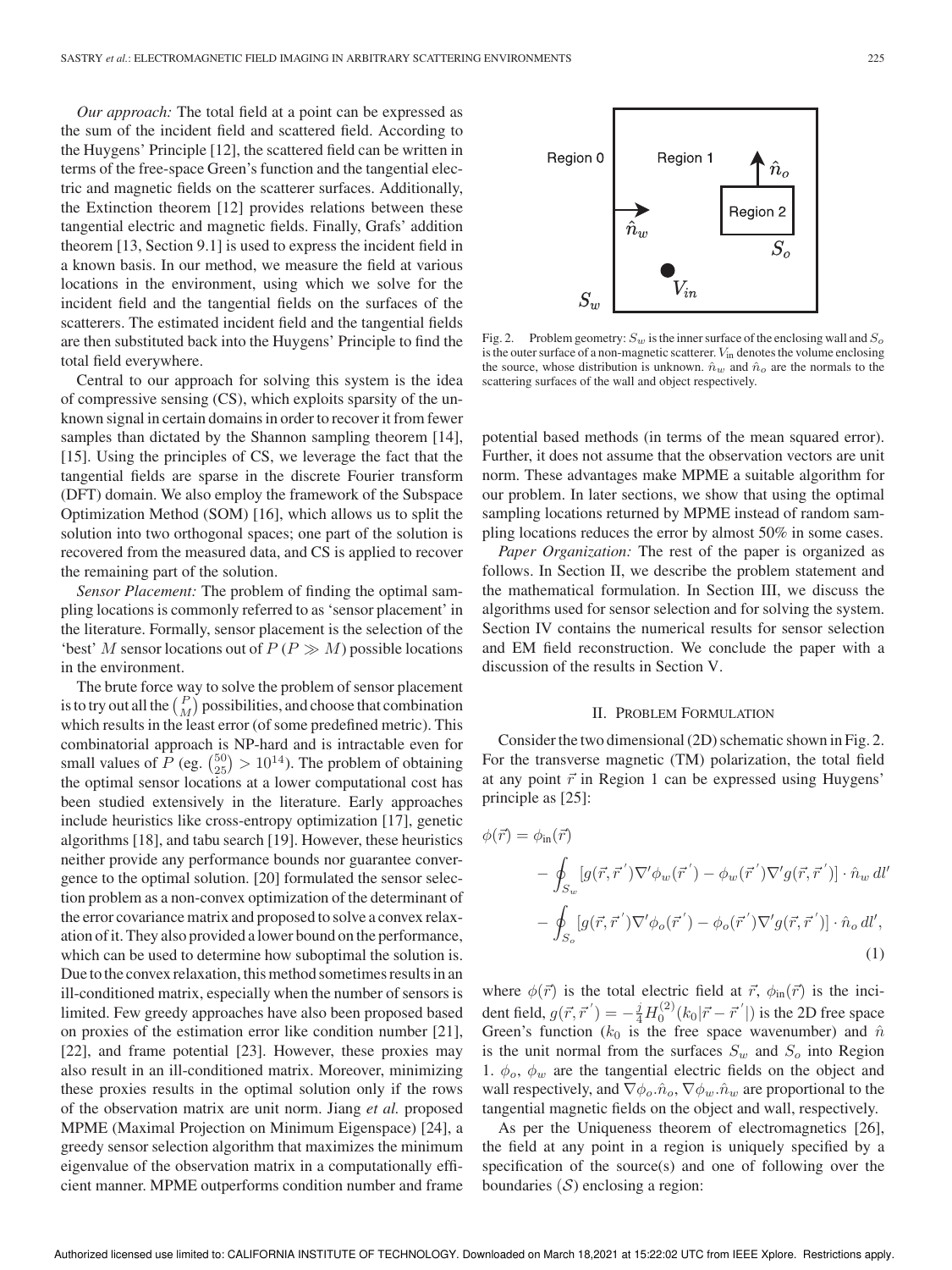*Our approach:* The total field at a point can be expressed as the sum of the incident field and scattered field. According to the Huygens' Principle [12], the scattered field can be written in terms of the free-space Green's function and the tangential electric and magnetic fields on the scatterer surfaces. Additionally, the Extinction theorem [12] provides relations between these tangential electric and magnetic fields. Finally, Grafs' addition theorem [13, Section 9.1] is used to express the incident field in a known basis. In our method, we measure the field at various locations in the environment, using which we solve for the incident field and the tangential fields on the surfaces of the scatterers. The estimated incident field and the tangential fields are then substituted back into the Huygens' Principle to find the total field everywhere.

Central to our approach for solving this system is the idea of compressive sensing (CS), which exploits sparsity of the unknown signal in certain domains in order to recover it from fewer samples than dictated by the Shannon sampling theorem [14], [15]. Using the principles of CS, we leverage the fact that the tangential fields are sparse in the discrete Fourier transform (DFT) domain. We also employ the framework of the Subspace Optimization Method (SOM) [16], which allows us to split the solution into two orthogonal spaces; one part of the solution is recovered from the measured data, and CS is applied to recover the remaining part of the solution.

*Sensor Placement:* The problem of finding the optimal sampling locations is commonly referred to as 'sensor placement' in the literature. Formally, sensor placement is the selection of the 'best' M sensor locations out of  $P(P \gg M)$  possible locations in the environment.

The brute force way to solve the problem of sensor placement is to try out all the  $\binom{P}{M}$  possibilities, and choose that combination which results in the least error (of some predefined metric). This combinatorial approach is NP-hard and is intractable even for small values of  $P$  (eg.  $\binom{50}{25}$  >  $10^{14}$ ). The problem of obtaining the optimal sensor locations at a lower computational cost has been studied extensively in the literature. Early approaches include heuristics like cross-entropy optimization [17], genetic algorithms [18], and tabu search [19]. However, these heuristics neither provide any performance bounds nor guarantee convergence to the optimal solution. [20] formulated the sensor selection problem as a non-convex optimization of the determinant of the error covariance matrix and proposed to solve a convex relaxation of it. They also provided a lower bound on the performance, which can be used to determine how suboptimal the solution is. Due to the convex relaxation, this method sometimes results in an ill-conditioned matrix, especially when the number of sensors is limited. Few greedy approaches have also been proposed based on proxies of the estimation error like condition number [21], [22], and frame potential [23]. However, these proxies may also result in an ill-conditioned matrix. Moreover, minimizing these proxies results in the optimal solution only if the rows of the observation matrix are unit norm. Jiang *et al.* proposed MPME (Maximal Projection on Minimum Eigenspace) [24], a greedy sensor selection algorithm that maximizes the minimum eigenvalue of the observation matrix in a computationally efficient manner. MPME outperforms condition number and frame



Fig. 2. Problem geometry:  $S_w$  is the inner surface of the enclosing wall and  $S_o$ is the outer surface of a non-magnetic scatterer.  $V_{in}$  denotes the volume enclosing the source, whose distribution is unknown.  $\hat{n}_w$  and  $\hat{n}_o$  are the normals to the scattering surfaces of the wall and object respectively.

potential based methods (in terms of the mean squared error). Further, it does not assume that the observation vectors are unit norm. These advantages make MPME a suitable algorithm for our problem. In later sections, we show that using the optimal sampling locations returned by MPME instead of random sampling locations reduces the error by almost 50% in some cases.

*Paper Organization:* The rest of the paper is organized as follows. In Section II, we describe the problem statement and the mathematical formulation. In Section III, we discuss the algorithms used for sensor selection and for solving the system. Section IV contains the numerical results for sensor selection and EM field reconstruction. We conclude the paper with a discussion of the results in Section V.

#### II. PROBLEM FORMULATION

Consider the two dimensional (2D) schematic shown in Fig. 2. For the transverse magnetic (TM) polarization, the total field at any point  $\vec{r}$  in Region 1 can be expressed using Huygens' principle as [25]:

$$
\phi(\vec{r}) = \phi_{\text{in}}(\vec{r})
$$
  
\n
$$
- \oint_{S_w} [g(\vec{r}, \vec{r}') \nabla' \phi_w(\vec{r}') - \phi_w(\vec{r}') \nabla' g(\vec{r}, \vec{r}')] \cdot \hat{n}_w dl'
$$
  
\n
$$
- \oint_{S_o} [g(\vec{r}, \vec{r}') \nabla' \phi_o(\vec{r}') - \phi_o(\vec{r}') \nabla' g(\vec{r}, \vec{r}')] \cdot \hat{n}_o dl',
$$
\n(1)

where  $\phi(\vec{r})$  is the total electric field at  $\vec{r}$ ,  $\phi_{\text{in}}(\vec{r})$  is the incident field,  $g(\vec{r}, \vec{r}') = -\frac{j}{4} H_0^{(2)}(k_0|\vec{r} - \vec{r}')$  is the 2D free space Green's function ( $k_0$  is the free space wavenumber) and  $\hat{n}$ is the unit normal from the surfaces  $S_w$  and  $S_o$  into Region 1.  $\phi_o$ ,  $\phi_w$  are the tangential electric fields on the object and wall respectively, and  $\nabla \phi_o \cdot \hat{n}_o$ ,  $\nabla \phi_w \cdot \hat{n}_w$  are proportional to the tangential magnetic fields on the object and wall, respectively.

As per the Uniqueness theorem of electromagnetics [26], the field at any point in a region is uniquely specified by a specification of the source(s) and one of following over the boundaries  $(S)$  enclosing a region: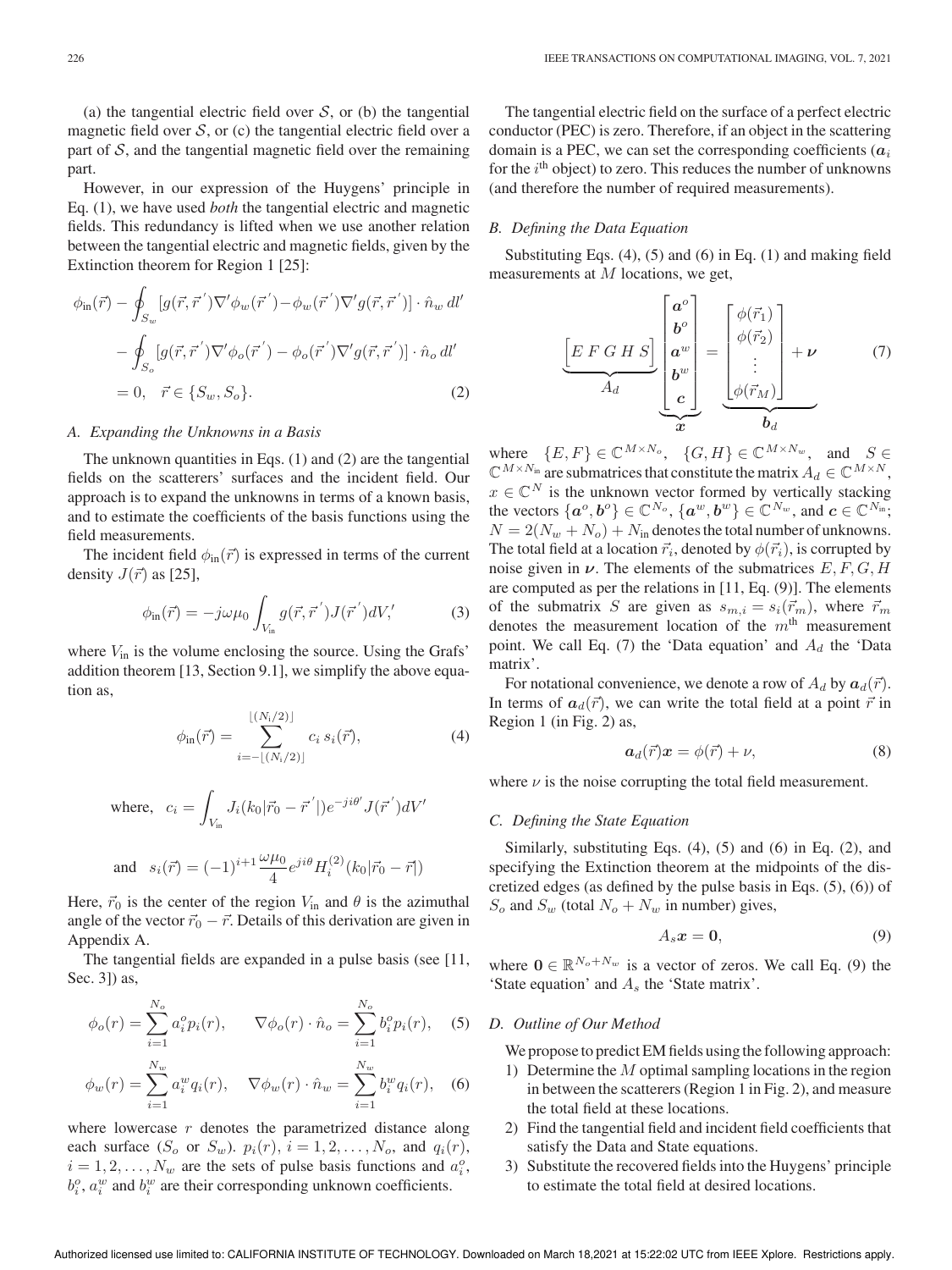(a) the tangential electric field over  $S$ , or (b) the tangential magnetic field over  $S$ , or (c) the tangential electric field over a part of  $S$ , and the tangential magnetic field over the remaining part.

However, in our expression of the Huygens' principle in Eq. (1), we have used *both* the tangential electric and magnetic fields. This redundancy is lifted when we use another relation between the tangential electric and magnetic fields, given by the Extinction theorem for Region 1 [25]:

$$
\phi_{\text{in}}(\vec{r}) - \oint_{S_w} [g(\vec{r}, \vec{r}') \nabla' \phi_w(\vec{r}') - \phi_w(\vec{r}') \nabla' g(\vec{r}, \vec{r}')] \cdot \hat{n}_w dl'
$$
  
\n
$$
- \oint_{S_o} [g(\vec{r}, \vec{r}') \nabla' \phi_o(\vec{r}') - \phi_o(\vec{r}') \nabla' g(\vec{r}, \vec{r}')] \cdot \hat{n}_o dl'
$$
  
\n
$$
= 0, \quad \vec{r} \in \{S_w, S_o\}. \tag{2}
$$

## *A. Expanding the Unknowns in a Basis*

The unknown quantities in Eqs. (1) and (2) are the tangential fields on the scatterers' surfaces and the incident field. Our approach is to expand the unknowns in terms of a known basis, and to estimate the coefficients of the basis functions using the field measurements.

The incident field  $\phi_{\text{in}}(\vec{r})$  is expressed in terms of the current density  $J(\vec{r})$  as [25],

$$
\phi_{\rm in}(\vec{r}) = -j\omega\mu_0 \int_{V_{\rm in}} g(\vec{r}, \vec{r}') J(\vec{r}') dV' \tag{3}
$$

where  $V_{\text{in}}$  is the volume enclosing the source. Using the Grafs' addition theorem [13, Section 9.1], we simplify the above equation as,

$$
\phi_{\text{in}}(\vec{r}) = \sum_{i=-\lfloor (N_i/2) \rfloor}^{\lfloor (N_i/2) \rfloor} c_i \, s_i(\vec{r}), \tag{4}
$$

where, 
$$
c_i = \int_{V_{\text{in}}} J_i(k_0|\vec{r}_0 - \vec{r}'|)e^{-ji\theta'} J(\vec{r}')dV'
$$
  
and  $s_i(\vec{r}) = (-1)^{i+1} \frac{\omega\mu_0}{4} e^{ji\theta} H_i^{(2)}(k_0|\vec{r}_0 - \vec{r}|)$ 

Here,  $\vec{r}_0$  is the center of the region  $V_{\text{in}}$  and  $\theta$  is the azimuthal angle of the vector  $\vec{r}_0 - \vec{r}$ . Details of this derivation are given in Appendix A.

The tangential fields are expanded in a pulse basis (see [11, Sec. 3]) as,

$$
\phi_o(r) = \sum_{i=1}^{N_o} a_i^o p_i(r), \qquad \nabla \phi_o(r) \cdot \hat{n}_o = \sum_{i=1}^{N_o} b_i^o p_i(r), \quad (5)
$$

$$
\phi_w(r) = \sum_{i=1}^{N_w} a_i^w q_i(r), \quad \nabla \phi_w(r) \cdot \hat{n}_w = \sum_{i=1}^{N_w} b_i^w q_i(r), \quad (6)
$$

where lowercase  $r$  denotes the parametrized distance along each surface  $(S_o \text{ or } S_w)$ .  $p_i(r)$ ,  $i = 1, 2, \ldots, N_o$ , and  $q_i(r)$ ,  $i = 1, 2, \dots, N_w$  are the sets of pulse basis functions and  $a_i^o$ ,  $b_i^o$ ,  $a_i^w$  and  $b_i^w$  are their corresponding unknown coefficients.

The tangential electric field on the surface of a perfect electric conductor (PEC) is zero. Therefore, if an object in the scattering domain is a PEC, we can set the corresponding coefficients  $(a_i)$ for the  $i<sup>th</sup>$  object) to zero. This reduces the number of unknowns (and therefore the number of required measurements).

## *B. Defining the Data Equation*

Substituting Eqs. (4), (5) and (6) in Eq. (1) and making field measurements at M locations, we get,

$$
\underbrace{\begin{bmatrix} E \ F \ G \ H \ S \end{bmatrix}}_{A_d} \underbrace{\begin{bmatrix} a^o \\ b^o \\ a^w \\ b^w \\ c \end{bmatrix}}_{x} = \underbrace{\begin{bmatrix} \phi(\vec{r}_1) \\ \phi(\vec{r}_2) \\ \vdots \\ \phi(\vec{r}_M) \end{bmatrix}}_{b_d} + \nu \tag{7}
$$

where  $\{E, F\} \in \mathbb{C}^{M \times N_o}$ ,  $\{G, H\} \in \mathbb{C}^{M \times N_w}$ , and  $S \in$  $\mathbb{C}^{M\times N_{\text{in}}}$  are submatrices that constitute the matrix  $A_d \in \mathbb{C}^{M\times N}$ ,  $x \in \mathbb{C}^N$  is the unknown vector formed by vertically stacking the vectors  $\{a^o, b^o\} \in \mathbb{C}^{N_o}$ ,  $\{a^w, b^w\} \in \mathbb{C}^{N_w}$ , and  $c \in \mathbb{C}^{N_{\text{in}}}$ ;  $N = 2(N_w + N_o) + N_{in}$  denotes the total number of unknowns. The total field at a location  $\vec{r}_i$ , denoted by  $\phi(\vec{r}_i)$ , is corrupted by noise given in  $\nu$ . The elements of the submatrices  $E, F, G, H$ are computed as per the relations in [11, Eq. (9)]. The elements of the submatrix S are given as  $s_{m,i} = s_i(\vec{r}_m)$ , where  $\vec{r}_m$ denotes the measurement location of the  $m<sup>th</sup>$  measurement point. We call Eq. (7) the 'Data equation' and  $A_d$  the 'Data matrix'.

For notational convenience, we denote a row of  $A_d$  by  $\boldsymbol{a}_d(\vec{r})$ . In terms of  $a_d(\vec{r})$ , we can write the total field at a point  $\vec{r}$  in Region 1 (in Fig. 2) as,

$$
a_d(\vec{r})x = \phi(\vec{r}) + \nu,\tag{8}
$$

where  $\nu$  is the noise corrupting the total field measurement.

## *C. Defining the State Equation*

Similarly, substituting Eqs. (4), (5) and (6) in Eq. (2), and specifying the Extinction theorem at the midpoints of the discretized edges (as defined by the pulse basis in Eqs. (5), (6)) of  $S_o$  and  $S_w$  (total  $N_o + N_w$  in number) gives,

$$
A_s \mathbf{x} = \mathbf{0},\tag{9}
$$

where  $\mathbf{0} \in \mathbb{R}^{N_o + N_w}$  is a vector of zeros. We call Eq. (9) the 'State equation' and  $A<sub>s</sub>$  the 'State matrix'.

## *D. Outline of Our Method*

We propose to predict EM fields using the following approach:

- 1) Determine the  $M$  optimal sampling locations in the region in between the scatterers (Region 1 in Fig. 2), and measure the total field at these locations.
- 2) Find the tangential field and incident field coefficients that satisfy the Data and State equations.
- 3) Substitute the recovered fields into the Huygens' principle to estimate the total field at desired locations.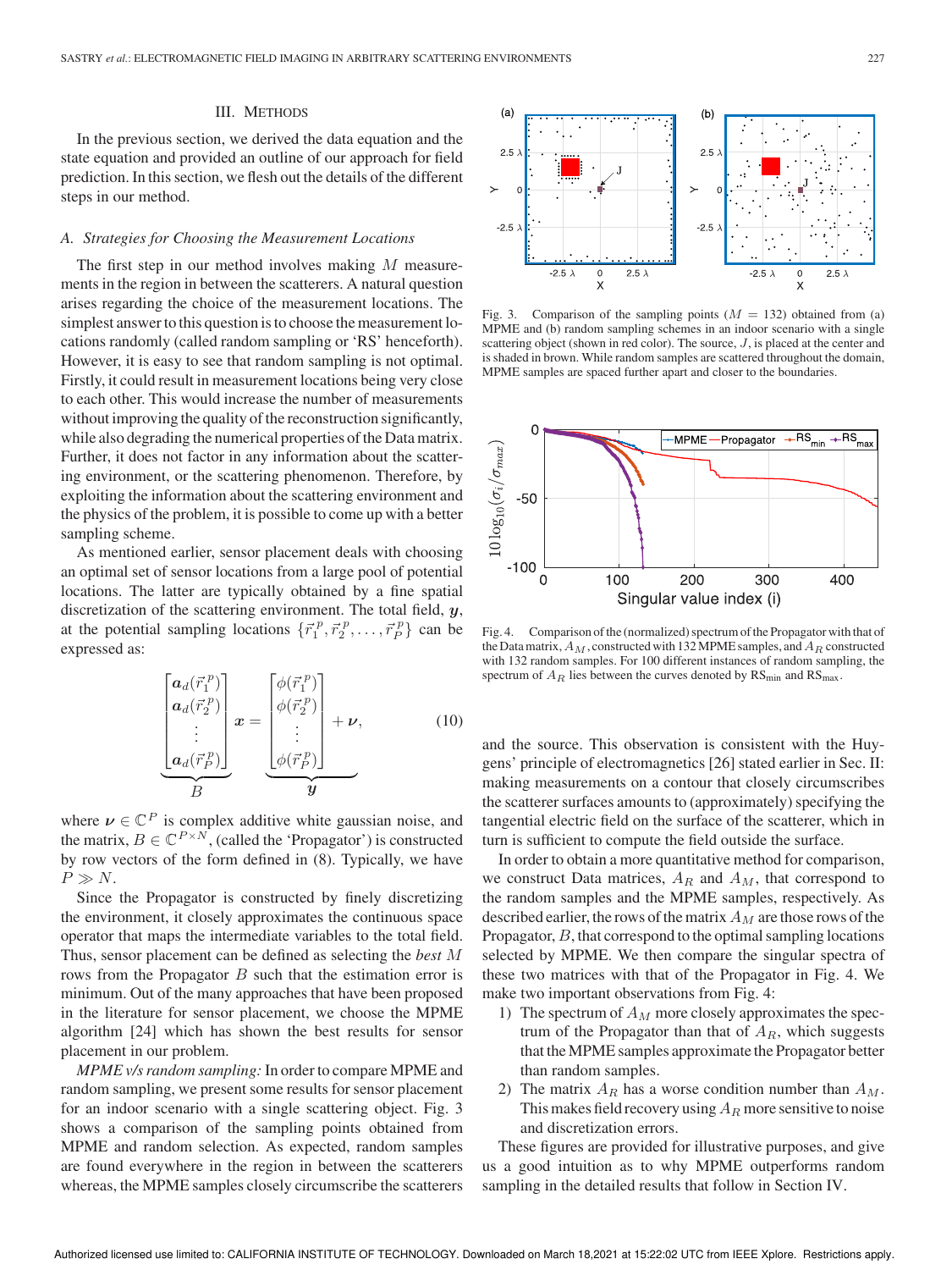#### III. METHODS

In the previous section, we derived the data equation and the state equation and provided an outline of our approach for field prediction. In this section, we flesh out the details of the different steps in our method.

## *A. Strategies for Choosing the Measurement Locations*

The first step in our method involves making M measurements in the region in between the scatterers. A natural question arises regarding the choice of the measurement locations. The simplest answer to this question is to choose the measurement locations randomly (called random sampling or 'RS' henceforth). However, it is easy to see that random sampling is not optimal. Firstly, it could result in measurement locations being very close to each other. This would increase the number of measurements without improving the quality of the reconstruction significantly, while also degrading the numerical properties of the Data matrix. Further, it does not factor in any information about the scattering environment, or the scattering phenomenon. Therefore, by exploiting the information about the scattering environment and the physics of the problem, it is possible to come up with a better sampling scheme.

As mentioned earlier, sensor placement deals with choosing an optimal set of sensor locations from a large pool of potential locations. The latter are typically obtained by a fine spatial discretization of the scattering environment. The total field,  $y$ , at the potential sampling locations  $\{\vec{r}_1^p, \vec{r}_2^p, \ldots, \vec{r}_p^p\}$  can be expressed as:

$$
\underbrace{\begin{bmatrix} a_d(\vec{r}_1^p) \\ a_d(\vec{r}_2^p) \\ \vdots \\ a_d(\vec{r}_P^p) \end{bmatrix}}_{B} \boldsymbol{x} = \underbrace{\begin{bmatrix} \phi(\vec{r}_1^p) \\ \phi(\vec{r}_2^p) \\ \vdots \\ \phi(\vec{r}_P^p) \end{bmatrix}}_{\boldsymbol{y}} + \boldsymbol{\nu}, \qquad (10)
$$

where  $\nu \in \mathbb{C}^P$  is complex additive white gaussian noise, and the matrix,  $B \in \mathbb{C}^{P \times N}$ , (called the 'Propagator') is constructed by row vectors of the form defined in (8). Typically, we have  $P \gg N$ .

Since the Propagator is constructed by finely discretizing the environment, it closely approximates the continuous space operator that maps the intermediate variables to the total field. Thus, sensor placement can be defined as selecting the *best* M rows from the Propagator  $B$  such that the estimation error is minimum. Out of the many approaches that have been proposed in the literature for sensor placement, we choose the MPME algorithm [24] which has shown the best results for sensor placement in our problem.

*MPME v/s random sampling:* In order to compare MPME and random sampling, we present some results for sensor placement for an indoor scenario with a single scattering object. Fig. 3 shows a comparison of the sampling points obtained from MPME and random selection. As expected, random samples are found everywhere in the region in between the scatterers whereas, the MPME samples closely circumscribe the scatterers



Fig. 3. Comparison of the sampling points  $(M = 132)$  obtained from (a) MPME and (b) random sampling schemes in an indoor scenario with a single scattering object (shown in red color). The source,  $J$ , is placed at the center and is shaded in brown. While random samples are scattered throughout the domain, MPME samples are spaced further apart and closer to the boundaries.



Fig. 4. Comparison of the (normalized) spectrum of the Propagator with that of the Data matrix,  $A_M$ , constructed with 132 MPME samples, and  $A_R$  constructed with 132 random samples. For 100 different instances of random sampling, the spectrum of  $A_R$  lies between the curves denoted by  $\text{RS}_{\text{min}}$  and  $\text{RS}_{\text{max}}$ .

and the source. This observation is consistent with the Huygens' principle of electromagnetics [26] stated earlier in Sec. II: making measurements on a contour that closely circumscribes the scatterer surfaces amounts to (approximately) specifying the tangential electric field on the surface of the scatterer, which in turn is sufficient to compute the field outside the surface.

In order to obtain a more quantitative method for comparison, we construct Data matrices,  $A_R$  and  $A_M$ , that correspond to the random samples and the MPME samples, respectively. As described earlier, the rows of the matrix  $A_M$  are those rows of the Propagator, B, that correspond to the optimal sampling locations selected by MPME. We then compare the singular spectra of these two matrices with that of the Propagator in Fig. 4. We make two important observations from Fig. 4:

- 1) The spectrum of  $A_M$  more closely approximates the spectrum of the Propagator than that of  $A_R$ , which suggests that the MPME samples approximate the Propagator better than random samples.
- 2) The matrix  $A_R$  has a worse condition number than  $A_M$ . This makes field recovery using  $A_R$  more sensitive to noise and discretization errors.

These figures are provided for illustrative purposes, and give us a good intuition as to why MPME outperforms random sampling in the detailed results that follow in Section IV.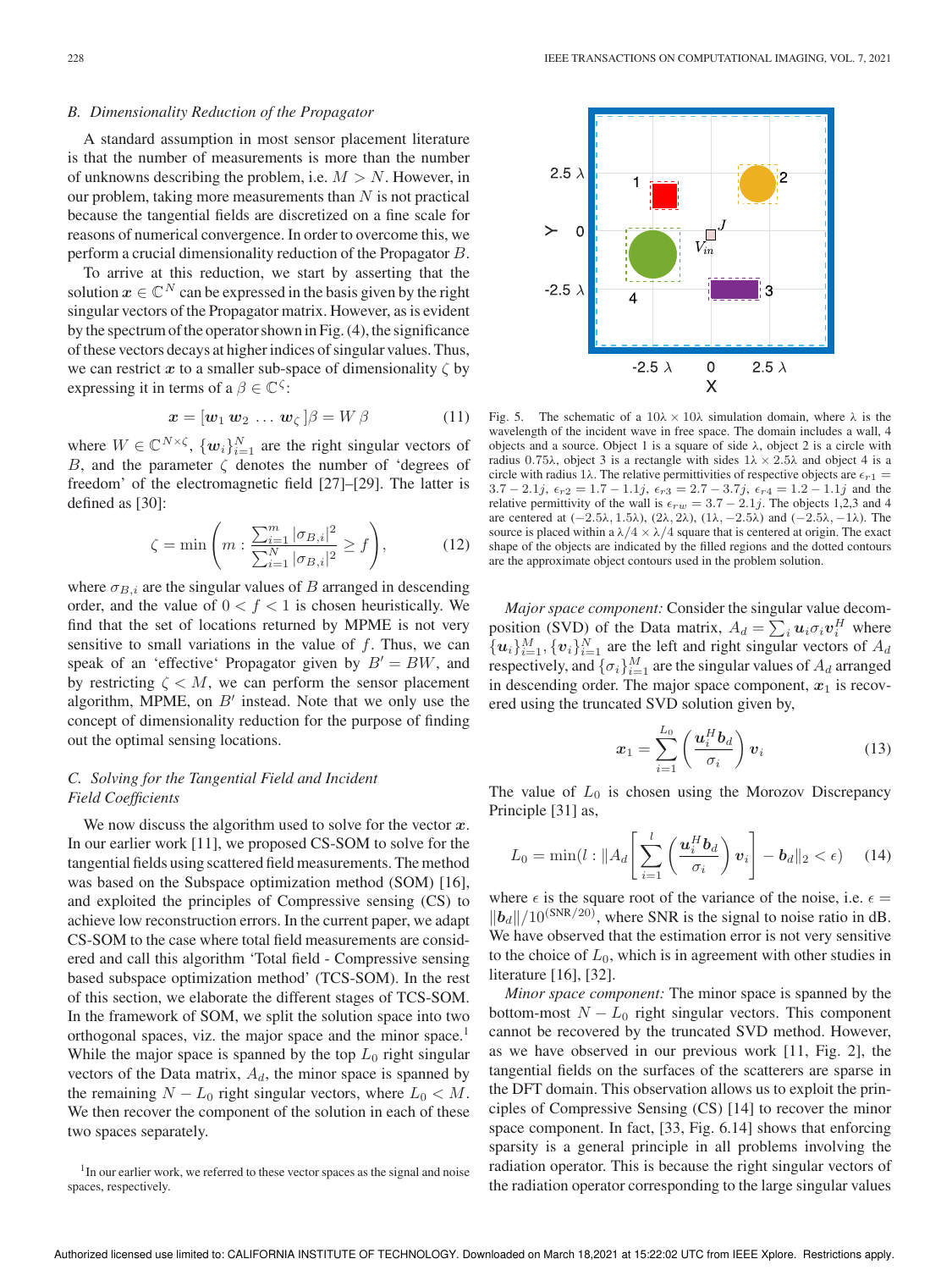## *B. Dimensionality Reduction of the Propagator*

A standard assumption in most sensor placement literature is that the number of measurements is more than the number of unknowns describing the problem, i.e.  $M > N$ . However, in our problem, taking more measurements than  $N$  is not practical because the tangential fields are discretized on a fine scale for reasons of numerical convergence. In order to overcome this, we perform a crucial dimensionality reduction of the Propagator B.

To arrive at this reduction, we start by asserting that the solution  $x \in \mathbb{C}^N$  can be expressed in the basis given by the right singular vectors of the Propagator matrix. However, as is evident by the spectrum of the operator shown in Fig. (4), the significance of these vectors decays at higher indices of singular values. Thus, we can restrict x to a smaller sub-space of dimensionality  $\zeta$  by expressing it in terms of a  $\beta \in \mathbb{C}^{\zeta}$ :

$$
\boldsymbol{x} = [\boldsymbol{w}_1 \ \boldsymbol{w}_2 \ \dots \ \boldsymbol{w}_\zeta \,] \boldsymbol{\beta} = W \, \boldsymbol{\beta} \tag{11}
$$

where  $W \in \mathbb{C}^{N \times \zeta}$ ,  $\{w_i\}_{i=1}^N$  are the right singular vectors of B, and the parameter  $\zeta$  denotes the number of 'degrees of freedom' of the electromagnetic field [27]–[29]. The latter is defined as [30]:

$$
\zeta = \min\left(m : \frac{\sum_{i=1}^{m} |\sigma_{B,i}|^2}{\sum_{i=1}^{N} |\sigma_{B,i}|^2} \ge f\right),\tag{12}
$$

where  $\sigma_{B,i}$  are the singular values of B arranged in descending order, and the value of  $0 < f < 1$  is chosen heuristically. We find that the set of locations returned by MPME is not very sensitive to small variations in the value of  $f$ . Thus, we can speak of an 'effective' Propagator given by  $B' = BW$ , and by restricting  $\zeta < M$ , we can perform the sensor placement algorithm, MPME, on  $B'$  instead. Note that we only use the concept of dimensionality reduction for the purpose of finding out the optimal sensing locations.

## *C. Solving for the Tangential Field and Incident Field Coefficients*

We now discuss the algorithm used to solve for the vector  $x$ . In our earlier work [11], we proposed CS-SOM to solve for the tangential fields using scattered field measurements. The method was based on the Subspace optimization method (SOM) [16], and exploited the principles of Compressive sensing (CS) to achieve low reconstruction errors. In the current paper, we adapt CS-SOM to the case where total field measurements are considered and call this algorithm 'Total field - Compressive sensing based subspace optimization method' (TCS-SOM). In the rest of this section, we elaborate the different stages of TCS-SOM. In the framework of SOM, we split the solution space into two orthogonal spaces, viz. the major space and the minor space.<sup>1</sup> While the major space is spanned by the top  $L_0$  right singular vectors of the Data matrix,  $A_d$ , the minor space is spanned by the remaining  $N - L_0$  right singular vectors, where  $L_0 < M$ . We then recover the component of the solution in each of these two spaces separately.



Fig. 5. The schematic of a  $10\lambda \times 10\lambda$  simulation domain, where  $\lambda$  is the wavelength of the incident wave in free space. The domain includes a wall, 4 objects and a source. Object 1 is a square of side  $λ$ , object 2 is a circle with radius 0.75λ, object 3 is a rectangle with sides  $1λ \times 2.5λ$  and object 4 is a circle with radius 1λ. The relative permittivities of respective objects are  $\epsilon_{r1}$  =  $3.7 - 2.1j$ ,  $\epsilon_{r2} = 1.7 - 1.1j$ ,  $\epsilon_{r3} = 2.7 - 3.7j$ ,  $\epsilon_{r4} = 1.2 - 1.1j$  and the relative permittivity of the wall is  $\epsilon_{rw} = 3.7 - 2.1j$ . The objects 1,2,3 and 4 are centered at  $(-2.5\lambda, 1.5\lambda), (2\lambda, 2\lambda), (1\lambda, -2.5\lambda)$  and  $(-2.5\lambda, -1\lambda)$ . The source is placed within a  $\lambda/4 \times \lambda/4$  square that is centered at origin. The exact shape of the objects are indicated by the filled regions and the dotted contours are the approximate object contours used in the problem solution.

*Major space component:* Consider the singular value decomposition (SVD) of the Data matrix,  $A_d = \sum_i \mathbf{u}_i \sigma_i \mathbf{v}_i^H$  where  $\{u_i\}_{i=1}^M$ ,  $\{v_i\}_{i=1}^N$  are the left and right singular vectors of  $A_d$ respectively, and  $\{\sigma_i\}_{i=1}^M$  are the singular values of  $A_d$  arranged in descending order. The major space component,  $x_1$  is recovered using the truncated SVD solution given by,

$$
\boldsymbol{x}_1 = \sum_{i=1}^{L_0} \left( \frac{\boldsymbol{u}_i^H \boldsymbol{b}_d}{\sigma_i} \right) \boldsymbol{v}_i \tag{13}
$$

The value of  $L_0$  is chosen using the Morozov Discrepancy Principle [31] as,

$$
L_0 = \min(l : \|A_d \left[ \sum_{i=1}^l \left( \frac{\boldsymbol{u}_i^H \boldsymbol{b}_d}{\sigma_i} \right) \boldsymbol{v}_i \right] - \boldsymbol{b}_d \|_2 < \epsilon) \tag{14}
$$

where  $\epsilon$  is the square root of the variance of the noise, i.e.  $\epsilon$  =  $\|\mathbf{b}_d\|/10^{(\text{SNR}/20)}$ , where SNR is the signal to noise ratio in dB. We have observed that the estimation error is not very sensitive to the choice of  $L_0$ , which is in agreement with other studies in literature [16], [32].

*Minor space component:* The minor space is spanned by the bottom-most  $N - L_0$  right singular vectors. This component cannot be recovered by the truncated SVD method. However, as we have observed in our previous work [11, Fig. 2], the tangential fields on the surfaces of the scatterers are sparse in the DFT domain. This observation allows us to exploit the principles of Compressive Sensing (CS) [14] to recover the minor space component. In fact, [33, Fig. 6.14] shows that enforcing sparsity is a general principle in all problems involving the radiation operator. This is because the right singular vectors of the radiation operator corresponding to the large singular values

<sup>&</sup>lt;sup>1</sup>In our earlier work, we referred to these vector spaces as the signal and noise spaces, respectively.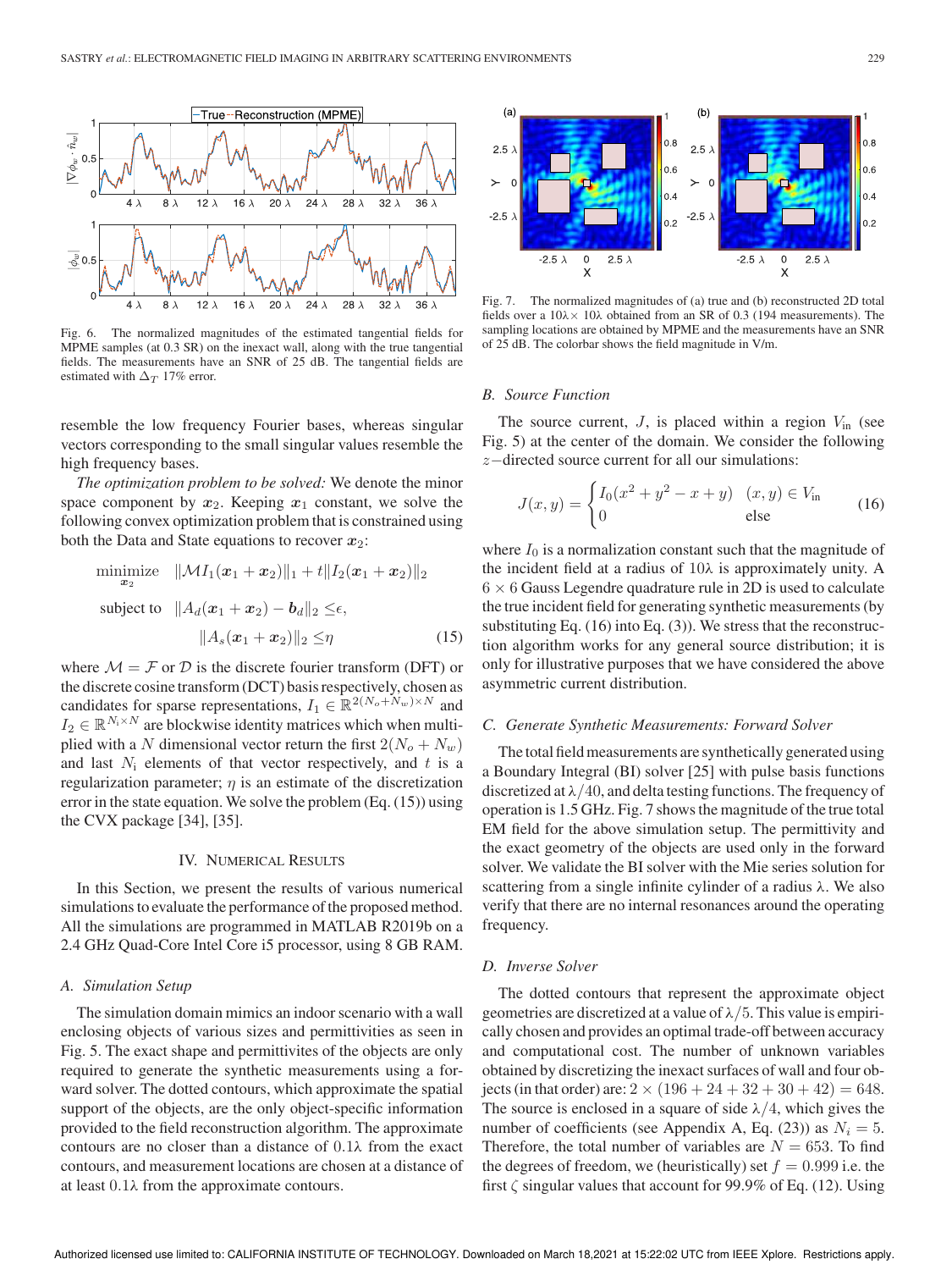

Fig. 6. The normalized magnitudes of the estimated tangential fields for MPME samples (at 0.3 SR) on the inexact wall, along with the true tangential fields. The measurements have an SNR of 25 dB. The tangential fields are estimated with  $\Delta_T$  17% error.

resemble the low frequency Fourier bases, whereas singular vectors corresponding to the small singular values resemble the high frequency bases.

*The optimization problem to be solved:* We denote the minor space component by  $x_2$ . Keeping  $x_1$  constant, we solve the following convex optimization problem that is constrained using both the Data and State equations to recover  $x_2$ :

minimize 
$$
\|\mathcal{M}I_1(\bm{x}_1+\bm{x}_2)\|_1 + t \|I_2(\bm{x}_1+\bm{x}_2)\|_2
$$
  
subject to  $\|A_d(\bm{x}_1+\bm{x}_2)-\bm{b}_d\|_2 \leq \epsilon$ ,  
 $\|A_s(\bm{x}_1+\bm{x}_2)\|_2 \leq \eta$  (15)

where  $\mathcal{M} = \mathcal{F}$  or  $\mathcal{D}$  is the discrete fourier transform (DFT) or the discrete cosine transform (DCT) basis respectively, chosen as candidates for sparse representations,  $I_1 \in \mathbb{R}^{2(N_o + N_w) \times N}$  and  $I_2 \in \mathbb{R}^{N_1 \times N}$  are blockwise identity matrices which when multiplied with a N dimensional vector return the first  $2(N_o + N_w)$ and last  $N_i$  elements of that vector respectively, and t is a regularization parameter;  $\eta$  is an estimate of the discretization error in the state equation. We solve the problem (Eq. (15)) using the CVX package [34], [35].

#### IV. NUMERICAL RESULTS

In this Section, we present the results of various numerical simulations to evaluate the performance of the proposed method. All the simulations are programmed in MATLAB R2019b on a 2.4 GHz Quad-Core Intel Core i5 processor, using 8 GB RAM.

## *A. Simulation Setup*

The simulation domain mimics an indoor scenario with a wall enclosing objects of various sizes and permittivities as seen in Fig. 5. The exact shape and permittivites of the objects are only required to generate the synthetic measurements using a forward solver. The dotted contours, which approximate the spatial support of the objects, are the only object-specific information provided to the field reconstruction algorithm. The approximate contours are no closer than a distance of  $0.1\lambda$  from the exact contours, and measurement locations are chosen at a distance of at least  $0.1\lambda$  from the approximate contours.



Fig. 7. The normalized magnitudes of (a) true and (b) reconstructed 2D total fields over a  $10\lambda \times 10\lambda$  obtained from an SR of 0.3 (194 measurements). The sampling locations are obtained by MPME and the measurements have an SNR of 25 dB. The colorbar shows the field magnitude in V/m.

#### *B. Source Function*

The source current,  $J$ , is placed within a region  $V_{\text{in}}$  (see Fig. 5) at the center of the domain. We consider the following z−directed source current for all our simulations:

$$
J(x,y) = \begin{cases} I_0(x^2 + y^2 - x + y) & (x, y) \in V_{\text{in}} \\ 0 & \text{else} \end{cases}
$$
 (16)

where  $I_0$  is a normalization constant such that the magnitude of the incident field at a radius of 10λ is approximately unity. A  $6 \times 6$  Gauss Legendre quadrature rule in 2D is used to calculate the true incident field for generating synthetic measurements (by substituting Eq. (16) into Eq. (3)). We stress that the reconstruction algorithm works for any general source distribution; it is only for illustrative purposes that we have considered the above asymmetric current distribution.

## *C. Generate Synthetic Measurements: Forward Solver*

The total field measurements are synthetically generated using a Boundary Integral (BI) solver [25] with pulse basis functions discretized at  $\lambda/40$ , and delta testing functions. The frequency of operation is 1.5 GHz. Fig. 7 shows the magnitude of the true total EM field for the above simulation setup. The permittivity and the exact geometry of the objects are used only in the forward solver. We validate the BI solver with the Mie series solution for scattering from a single infinite cylinder of a radius  $\lambda$ . We also verify that there are no internal resonances around the operating frequency.

#### *D. Inverse Solver*

The dotted contours that represent the approximate object geometries are discretized at a value of  $\lambda/5$ . This value is empirically chosen and provides an optimal trade-off between accuracy and computational cost. The number of unknown variables obtained by discretizing the inexact surfaces of wall and four objects (in that order) are:  $2 \times (196 + 24 + 32 + 30 + 42) = 648$ . The source is enclosed in a square of side  $\lambda/4$ , which gives the number of coefficients (see Appendix A, Eq. (23)) as  $N_i = 5$ . Therefore, the total number of variables are  $N = 653$ . To find the degrees of freedom, we (heuristically) set  $f = 0.999$  i.e. the first  $\zeta$  singular values that account for 99.9% of Eq. (12). Using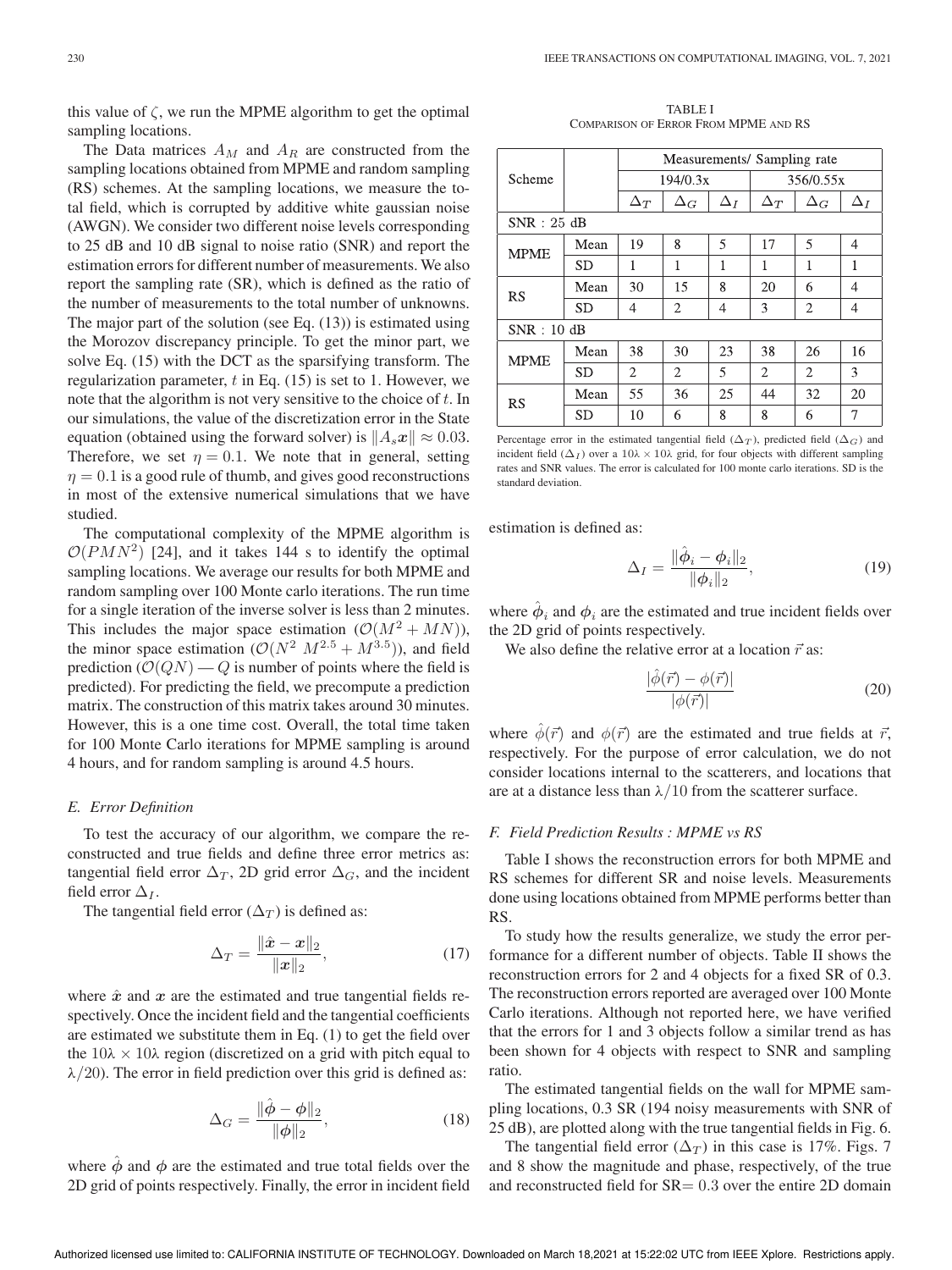this value of  $\zeta$ , we run the MPME algorithm to get the optimal sampling locations.

The Data matrices  $A_M$  and  $A_R$  are constructed from the sampling locations obtained from MPME and random sampling (RS) schemes. At the sampling locations, we measure the total field, which is corrupted by additive white gaussian noise (AWGN). We consider two different noise levels corresponding to 25 dB and 10 dB signal to noise ratio (SNR) and report the estimation errors for different number of measurements. We also report the sampling rate (SR), which is defined as the ratio of the number of measurements to the total number of unknowns. The major part of the solution (see Eq. (13)) is estimated using the Morozov discrepancy principle. To get the minor part, we solve Eq. (15) with the DCT as the sparsifying transform. The regularization parameter,  $t$  in Eq. (15) is set to 1. However, we note that the algorithm is not very sensitive to the choice of  $t$ . In our simulations, the value of the discretization error in the State equation (obtained using the forward solver) is  $||A_s x|| \approx 0.03$ . Therefore, we set  $\eta = 0.1$ . We note that in general, setting  $\eta = 0.1$  is a good rule of thumb, and gives good reconstructions in most of the extensive numerical simulations that we have studied.

The computational complexity of the MPME algorithm is  $O(PMN^2)$  [24], and it takes 144 s to identify the optimal sampling locations. We average our results for both MPME and random sampling over 100 Monte carlo iterations. The run time for a single iteration of the inverse solver is less than 2 minutes. This includes the major space estimation  $(\mathcal{O}(M^2 + MN))$ , the minor space estimation  $(\mathcal{O}(N^2 \ M^{2.5} + M^{3.5}))$ , and field prediction  $(\mathcal{O}(QN) - Q)$  is number of points where the field is predicted). For predicting the field, we precompute a prediction matrix. The construction of this matrix takes around 30 minutes. However, this is a one time cost. Overall, the total time taken for 100 Monte Carlo iterations for MPME sampling is around 4 hours, and for random sampling is around 4.5 hours.

#### *E. Error Definition*

To test the accuracy of our algorithm, we compare the reconstructed and true fields and define three error metrics as: tangential field error  $\Delta_T$ , 2D grid error  $\Delta_G$ , and the incident field error  $\Delta_I$ .

The tangential field error  $(\Delta_T)$  is defined as:

$$
\Delta_T = \frac{\|\hat{x} - x\|_2}{\|x\|_2},\tag{17}
$$

where  $\hat{x}$  and  $x$  are the estimated and true tangential fields respectively. Once the incident field and the tangential coefficients are estimated we substitute them in Eq. (1) to get the field over the  $10\lambda \times 10\lambda$  region (discretized on a grid with pitch equal to  $\lambda/20$ ). The error in field prediction over this grid is defined as:

$$
\Delta_G = \frac{\|\hat{\phi} - \phi\|_2}{\|\phi\|_2},
$$
\n(18)

where  $\dot{\phi}$  and  $\dot{\phi}$  are the estimated and true total fields over the 2D grid of points respectively. Finally, the error in incident field

TABLE I COMPARISON OF ERROR FROM MPME AND RS

|             |           | Measurements/ Sampling rate |                |            |            |                |            |  |  |  |
|-------------|-----------|-----------------------------|----------------|------------|------------|----------------|------------|--|--|--|
| Scheme      |           | 194/0.3x                    |                |            | 356/0.55x  |                |            |  |  |  |
|             |           | $\Delta_T$                  | $\Delta_G$     | $\Delta_I$ | $\Delta_T$ | $\Delta_G$     | $\Delta_I$ |  |  |  |
| SNR: 25 dB  |           |                             |                |            |            |                |            |  |  |  |
| <b>MPME</b> | Mean      | 19                          | 8              | 5          | 17         | 5              | 4          |  |  |  |
|             | <b>SD</b> | 1                           | 1              | 1          | 1          | 1              | 1          |  |  |  |
| RS          | Mean      | 30                          | 15             | 8          | 20         | 6              | 4          |  |  |  |
|             | <b>SD</b> | 4                           | $\overline{2}$ | 4          | 3          | 2              | 4          |  |  |  |
| SNR:10dB    |           |                             |                |            |            |                |            |  |  |  |
| <b>MPME</b> | Mean      | 38                          | 30             | 23         | 38         | 26             | 16         |  |  |  |
|             | <b>SD</b> | $\overline{c}$              | $\overline{c}$ | 5          | 2          | $\overline{c}$ | 3          |  |  |  |
| <b>RS</b>   | Mean      | 55                          | 36             | 25         | 44         | 32             | 20         |  |  |  |
|             | <b>SD</b> | 10                          | 6              | 8          | 8          | 6              | 7          |  |  |  |

Percentage error in the estimated tangential field ( $\Delta_T$ ), predicted field ( $\Delta_G$ ) and incident field ( $\Delta_I$ ) over a 10λ × 10λ grid, for four objects with different sampling rates and SNR values. The error is calculated for 100 monte carlo iterations. SD is the standard deviation.

estimation is defined as:

$$
\Delta_I = \frac{\|\hat{\phi}_i - \phi_i\|_2}{\|\phi_i\|_2},
$$
\n(19)

where  $\hat{\phi}_i$  and  $\phi_i$  are the estimated and true incident fields over the 2D grid of points respectively.

We also define the relative error at a location  $\vec{r}$  as:

$$
\frac{|\hat{\phi}(\vec{r}) - \phi(\vec{r})|}{|\phi(\vec{r})|} \tag{20}
$$

where  $\hat{\phi}(\vec{r})$  and  $\phi(\vec{r})$  are the estimated and true fields at  $\vec{r}$ , respectively. For the purpose of error calculation, we do not consider locations internal to the scatterers, and locations that are at a distance less than  $\lambda/10$  from the scatterer surface.

#### *F. Field Prediction Results : MPME vs RS*

Table I shows the reconstruction errors for both MPME and RS schemes for different SR and noise levels. Measurements done using locations obtained from MPME performs better than RS.

To study how the results generalize, we study the error performance for a different number of objects. Table II shows the reconstruction errors for 2 and 4 objects for a fixed SR of 0.3. The reconstruction errors reported are averaged over 100 Monte Carlo iterations. Although not reported here, we have verified that the errors for 1 and 3 objects follow a similar trend as has been shown for 4 objects with respect to SNR and sampling ratio.

The estimated tangential fields on the wall for MPME sampling locations, 0.3 SR (194 noisy measurements with SNR of 25 dB), are plotted along with the true tangential fields in Fig. 6.

The tangential field error ( $\Delta_T$ ) in this case is 17%. Figs. 7 and 8 show the magnitude and phase, respectively, of the true and reconstructed field for  $SR = 0.3$  over the entire 2D domain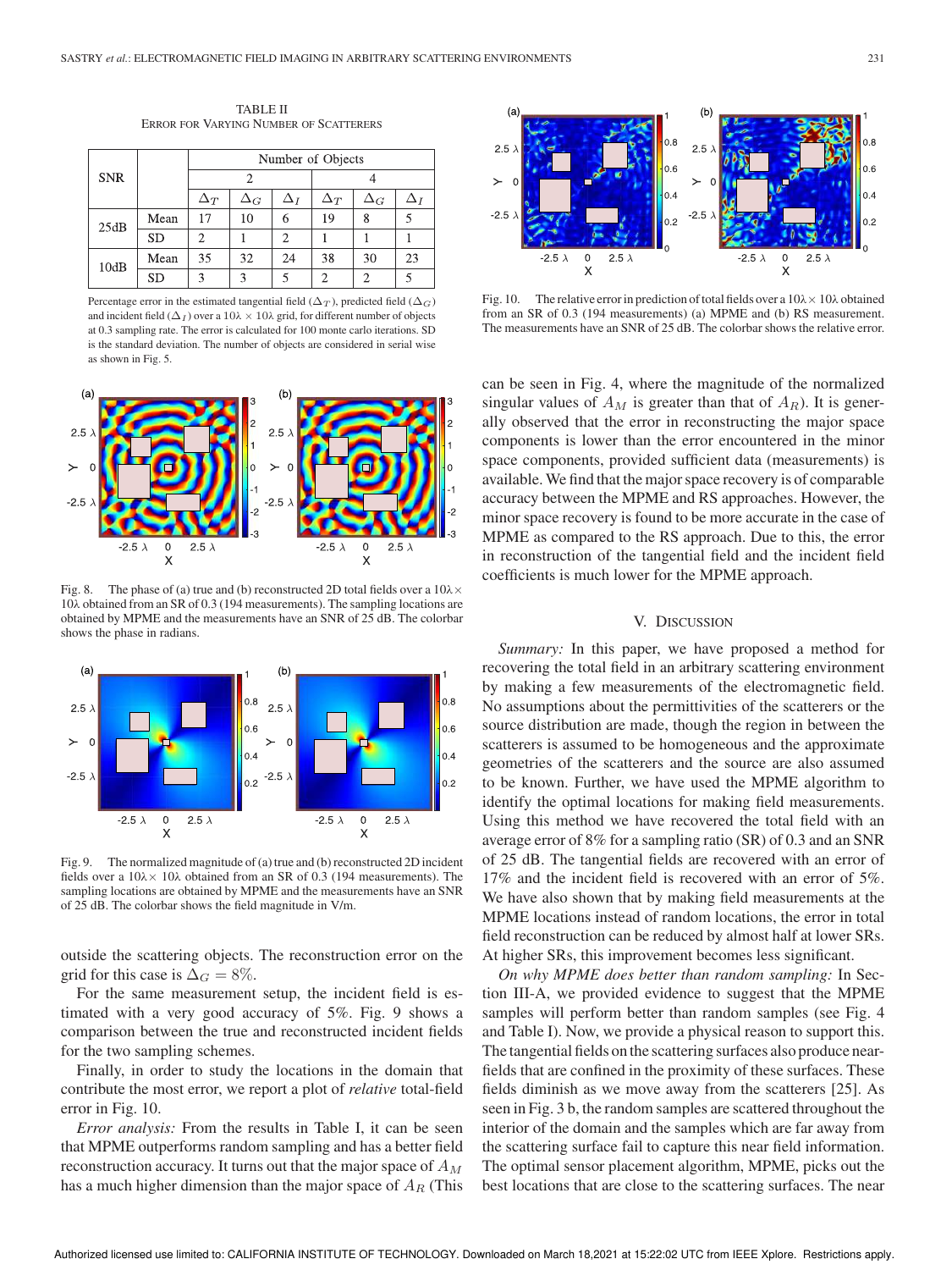TABLE II ERROR FOR VARYING NUMBER OF SCATTERERS

|            |           | Number of Objects |            |            |            |            |    |  |  |
|------------|-----------|-------------------|------------|------------|------------|------------|----|--|--|
| <b>SNR</b> |           |                   |            |            |            |            |    |  |  |
|            |           | $\Delta_T$        | $\Delta_G$ | $\Delta_I$ | $\Delta_T$ | $\Delta_G$ |    |  |  |
| 25dB       | Mean      | 17                | 10         | 6          | 19         | 8          |    |  |  |
|            | <b>SD</b> | っ                 |            | 2          |            |            |    |  |  |
| 10dB       | Mean      | 35                | 32         | 24         | 38         | 30         | 23 |  |  |
|            | <b>SD</b> | $\mathbf{\Omega}$ | κ          |            |            |            |    |  |  |

Percentage error in the estimated tangential field ( $\Delta_T$ ), predicted field ( $\Delta_G$ ) and incident field ( $\Delta_I$ ) over a  $10\lambda \times 10\lambda$  grid, for different number of objects at 0.3 sampling rate. The error is calculated for 100 monte carlo iterations. SD is the standard deviation. The number of objects are considered in serial wise as shown in Fig. 5.



Fig. 8. The phase of (a) true and (b) reconstructed 2D total fields over a  $10\lambda \times$ 10λ obtained from an SR of 0.3 (194 measurements). The sampling locations are obtained by MPME and the measurements have an SNR of 25 dB. The colorbar shows the phase in radians.



Fig. 9. The normalized magnitude of (a) true and (b) reconstructed 2D incident fields over a  $10\lambda \times 10\lambda$  obtained from an SR of 0.3 (194 measurements). The sampling locations are obtained by MPME and the measurements have an SNR of 25 dB. The colorbar shows the field magnitude in V/m.

outside the scattering objects. The reconstruction error on the grid for this case is  $\Delta_G = 8\%.$ 

For the same measurement setup, the incident field is estimated with a very good accuracy of 5%. Fig. 9 shows a comparison between the true and reconstructed incident fields for the two sampling schemes.

Finally, in order to study the locations in the domain that contribute the most error, we report a plot of *relative* total-field error in Fig. 10.

*Error analysis:* From the results in Table I, it can be seen that MPME outperforms random sampling and has a better field reconstruction accuracy. It turns out that the major space of  $A_M$ has a much higher dimension than the major space of  $A_R$  (This



Fig. 10. The relative error in prediction of total fields over a  $10\lambda \times 10\lambda$  obtained from an SR of 0.3 (194 measurements) (a) MPME and (b) RS measurement. The measurements have an SNR of 25 dB. The colorbar shows the relative error.

can be seen in Fig. 4, where the magnitude of the normalized singular values of  $A_M$  is greater than that of  $A_R$ ). It is generally observed that the error in reconstructing the major space components is lower than the error encountered in the minor space components, provided sufficient data (measurements) is available. We find that the major space recovery is of comparable accuracy between the MPME and RS approaches. However, the minor space recovery is found to be more accurate in the case of MPME as compared to the RS approach. Due to this, the error in reconstruction of the tangential field and the incident field coefficients is much lower for the MPME approach.

#### V. DISCUSSION

*Summary:* In this paper, we have proposed a method for recovering the total field in an arbitrary scattering environment by making a few measurements of the electromagnetic field. No assumptions about the permittivities of the scatterers or the source distribution are made, though the region in between the scatterers is assumed to be homogeneous and the approximate geometries of the scatterers and the source are also assumed to be known. Further, we have used the MPME algorithm to identify the optimal locations for making field measurements. Using this method we have recovered the total field with an average error of 8% for a sampling ratio (SR) of 0.3 and an SNR of 25 dB. The tangential fields are recovered with an error of 17% and the incident field is recovered with an error of 5%. We have also shown that by making field measurements at the MPME locations instead of random locations, the error in total field reconstruction can be reduced by almost half at lower SRs. At higher SRs, this improvement becomes less significant.

*On why MPME does better than random sampling:* In Section III-A, we provided evidence to suggest that the MPME samples will perform better than random samples (see Fig. 4 and Table I). Now, we provide a physical reason to support this. The tangential fields on the scattering surfaces also produce nearfields that are confined in the proximity of these surfaces. These fields diminish as we move away from the scatterers [25]. As seen in Fig. 3 b, the random samples are scattered throughout the interior of the domain and the samples which are far away from the scattering surface fail to capture this near field information. The optimal sensor placement algorithm, MPME, picks out the best locations that are close to the scattering surfaces. The near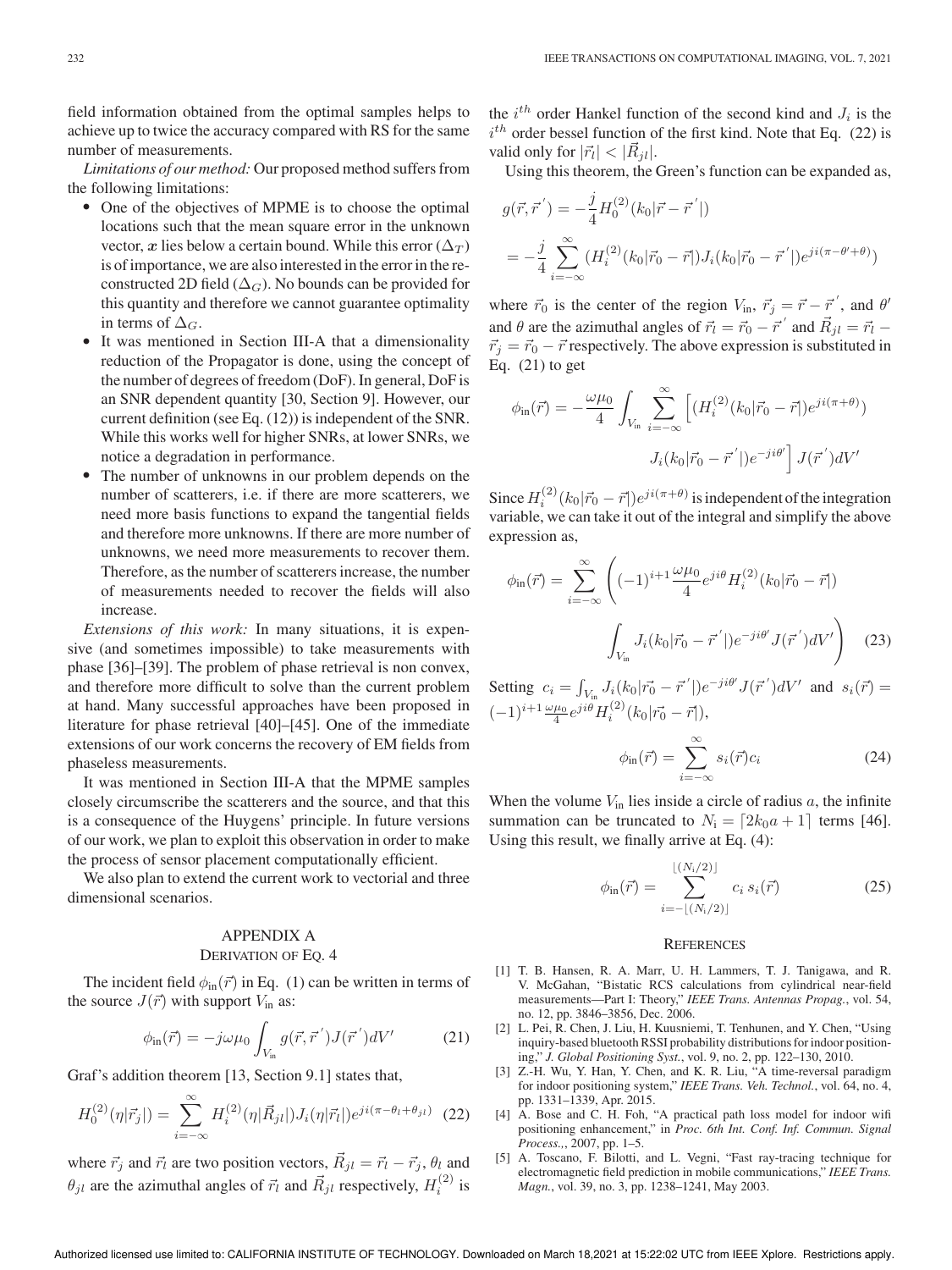field information obtained from the optimal samples helps to achieve up to twice the accuracy compared with RS for the same number of measurements.

*Limitations of our method:* Our proposed method suffers from the following limitations:

- One of the objectives of MPME is to choose the optimal locations such that the mean square error in the unknown vector, x lies below a certain bound. While this error ( $\Delta_T$ ) is of importance, we are also interested in the error in the reconstructed 2D field ( $\Delta_G$ ). No bounds can be provided for this quantity and therefore we cannot guarantee optimality in terms of  $\Delta_G$ .
- $\bullet$ It was mentioned in Section III-A that a dimensionality reduction of the Propagator is done, using the concept of the number of degrees of freedom (DoF). In general, DoF is an SNR dependent quantity [30, Section 9]. However, our current definition (see Eq. (12)) is independent of the SNR. While this works well for higher SNRs, at lower SNRs, we notice a degradation in performance.
- $\bullet$  The number of unknowns in our problem depends on the number of scatterers, i.e. if there are more scatterers, we need more basis functions to expand the tangential fields and therefore more unknowns. If there are more number of unknowns, we need more measurements to recover them. Therefore, as the number of scatterers increase, the number of measurements needed to recover the fields will also increase.

*Extensions of this work:* In many situations, it is expensive (and sometimes impossible) to take measurements with phase [36]–[39]. The problem of phase retrieval is non convex, and therefore more difficult to solve than the current problem at hand. Many successful approaches have been proposed in literature for phase retrieval [40]–[45]. One of the immediate extensions of our work concerns the recovery of EM fields from phaseless measurements.

It was mentioned in Section III-A that the MPME samples closely circumscribe the scatterers and the source, and that this is a consequence of the Huygens' principle. In future versions of our work, we plan to exploit this observation in order to make the process of sensor placement computationally efficient.

We also plan to extend the current work to vectorial and three dimensional scenarios.

## APPENDIX A

## DERIVATION OF EQ. 4

The incident field  $\phi_{\text{in}}(\vec{r})$  in Eq. (1) can be written in terms of the source  $J(\vec{r})$  with support  $V_{\text{in}}$  as:

$$
\phi_{\rm in}(\vec{r}) = -j\omega\mu_0 \int_{V_{\rm in}} g(\vec{r}, \vec{r}') J(\vec{r}') dV' \tag{21}
$$

Graf's addition theorem [13, Section 9.1] states that,

$$
H_0^{(2)}(\eta|\vec{r}_j|) = \sum_{i=-\infty}^{\infty} H_i^{(2)}(\eta|\vec{R}_{jl}|)J_i(\eta|\vec{r}_l|)e^{ji(\pi-\theta_l+\theta_{jl})} \tag{22}
$$

where  $\vec{r}_j$  and  $\vec{r}_l$  are two position vectors,  $\vec{R}_{jl} = \vec{r}_l - \vec{r}_j$ ,  $\theta_l$  and  $\theta_{jl}$  are the azimuthal angles of  $\vec{r}_l$  and  $\vec{R}_{jl}$  respectively,  $H_i^{(2)}$  is the  $i^{th}$  order Hankel function of the second kind and  $J_i$  is the  $i<sup>th</sup>$  order bessel function of the first kind. Note that Eq. (22) is valid only for  $|\vec{r}_l| < |\vec{R}_{jl}|$ .

Using this theorem, the Green's function can be expanded as,

$$
g(\vec{r}, \vec{r}') = -\frac{j}{4} H_0^{(2)}(k_0|\vec{r} - \vec{r}'|)
$$
  
=  $-\frac{j}{4} \sum_{i=-\infty}^{\infty} (H_i^{(2)}(k_0|\vec{r}_0 - \vec{r}|)J_i(k_0|\vec{r}_0 - \vec{r}')e^{ji(\pi - \theta' + \theta)})$ 

where  $\vec{r}_0$  is the center of the region  $V_{\text{in}}$ ,  $\vec{r}_j = \vec{r} - \vec{r}'$ , and  $\theta'$ and  $\theta$  are the azimuthal angles of  $\vec{r}_l = \vec{r}_0 - \vec{r}$  ' and  $\vec{R}_{jl} = \vec{r}_l$  - $\vec{r}_j = \vec{r}_0 - \vec{r}$  respectively. The above expression is substituted in Eq. (21) to get

$$
\phi_{\rm in}(\vec{r}) = -\frac{\omega\mu_0}{4} \int_{V_{\rm in}} \sum_{i=-\infty}^{\infty} \left[ (H_i^{(2)}(k_0|\vec{r}_0 - \vec{r}|)e^{ji(\pi+\theta)}) \right. \\
J_i(k_0|\vec{r}_0 - \vec{r}^{'}|)e^{-ji\theta'} \right] J(\vec{r}^{'})dV'
$$

Since  $H_i^{(2)}(k_0|\vec{r}_0 - \vec{r}|)e^{ji(\pi + \theta)}$  is independent of the integration variable, we can take it out of the integral and simplify the above expression as,

$$
\phi_{\rm in}(\vec{r}) = \sum_{i=-\infty}^{\infty} \left( (-1)^{i+1} \frac{\omega \mu_0}{4} e^{ji\theta} H_i^{(2)}(k_0|\vec{r}_0 - \vec{r}|) \right)
$$

$$
\int_{V_{\rm in}} J_i(k_0|\vec{r}_0 - \vec{r}^{'}|) e^{-ji\theta'} J(\vec{r}^{'}) dV' \right)
$$
(23)

Setting  $c_i = \int_{V_{\text{in}}} J_i(k_0|\vec{r_0} - \vec{r}')e^{-ji\theta'}J(\vec{r}')dV'$  and  $s_i(\vec{r}) =$  $(-1)^{i+1} \frac{\omega \mu_0}{4} e^{ji\theta} H_i^{(2)}(k_0|\vec{r_0} - \vec{r}|),$ 

$$
\phi_{\rm in}(\vec{r}) = \sum_{i=-\infty}^{\infty} s_i(\vec{r}) c_i \tag{24}
$$

When the volume  $V_{\text{in}}$  lies inside a circle of radius  $a$ , the infinite summation can be truncated to  $N_i = \lfloor 2k_0a + 1 \rfloor$  terms [46]. Using this result, we finally arrive at Eq. (4):

$$
\phi_{\text{in}}(\vec{r}) = \sum_{i=-\lfloor (N_i/2) \rfloor}^{\lfloor (N_i/2) \rfloor} c_i s_i(\vec{r})
$$
\n(25)

#### **REFERENCES**

- [1] T. B. Hansen, R. A. Marr, U. H. Lammers, T. J. Tanigawa, and R. V. McGahan, "Bistatic RCS calculations from cylindrical near-field measurements—Part I: Theory," *IEEE Trans. Antennas Propag.*, vol. 54, no. 12, pp. 3846–3856, Dec. 2006.
- [2] L. Pei, R. Chen, J. Liu, H. Kuusniemi, T. Tenhunen, and Y. Chen, "Using inquiry-based bluetooth RSSI probability distributions for indoor positioning," *J. Global Positioning Syst.*, vol. 9, no. 2, pp. 122–130, 2010.
- [3] Z.-H. Wu, Y. Han, Y. Chen, and K. R. Liu, "A time-reversal paradigm for indoor positioning system," *IEEE Trans. Veh. Technol.*, vol. 64, no. 4, pp. 1331–1339, Apr. 2015.
- [4] A. Bose and C. H. Foh, "A practical path loss model for indoor wifi positioning enhancement," in *Proc. 6th Int. Conf. Inf. Commun. Signal Process.,*, 2007, pp. 1–5.
- [5] A. Toscano, F. Bilotti, and L. Vegni, "Fast ray-tracing technique for electromagnetic field prediction in mobile communications," *IEEE Trans. Magn.*, vol. 39, no. 3, pp. 1238–1241, May 2003.